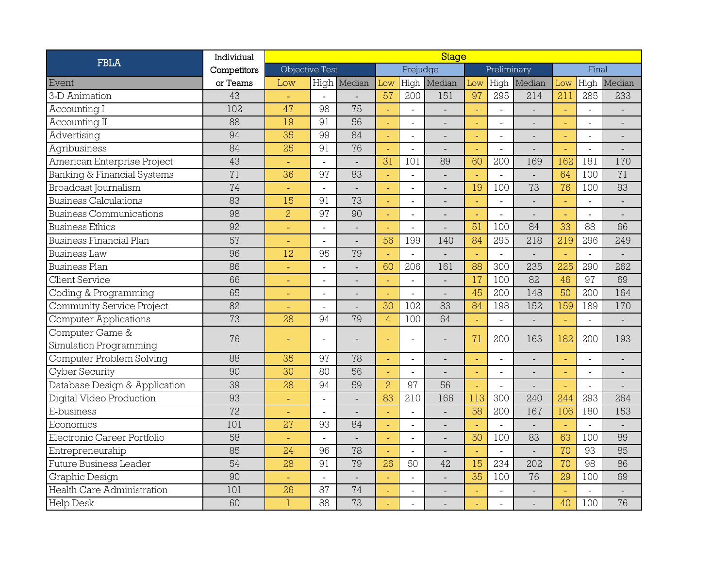| <b>FBLA</b>                    | Individual  | <b>Stage</b>    |                |                |                |                |                |                |                          |                |       |                          |                          |  |
|--------------------------------|-------------|-----------------|----------------|----------------|----------------|----------------|----------------|----------------|--------------------------|----------------|-------|--------------------------|--------------------------|--|
|                                | Competitors | Objective Test  |                |                |                | Prejudge       |                |                | Preliminary              |                | Final |                          |                          |  |
| Event                          | or Teams    | Low             |                | High Median    | Low            | High           | Median         | Low            | High                     | Median         | Low   | High                     | Median                   |  |
| 3-D Animation                  | 43          |                 |                |                | 57             | 200            | 151            | 97             | 295                      | 214            | 211   | 285                      | 233                      |  |
| Accounting I                   | 102         | 47              | 98             | 75             |                |                |                |                |                          |                |       | $\overline{a}$           |                          |  |
| Accounting II                  | 88          | 19              | 91             | 56             |                | $\mathbb{Z}^2$ |                | L,             | $\overline{a}$           |                |       | $\overline{\phantom{a}}$ | $\overline{\phantom{m}}$ |  |
| Advertising                    | 94          | 35              | 99             | 84             |                | $\overline{a}$ |                | L,             | $\overline{a}$           | $\overline{a}$ |       | $\bar{\phantom{a}}$      | $\overline{a}$           |  |
| Agribusiness                   | 84          | 25              | 91             | 76             |                | $\overline{a}$ |                | u,             | $\overline{a}$           |                |       | $\blacksquare$           |                          |  |
| American Enterprise Project    | 43          |                 |                |                | 31             | 101            | 89             | 60             | 200                      | 169            | 162   | 181                      | 170                      |  |
| Banking & Financial Systems    | 71          | 36              | 97             | 83             |                | $\overline{a}$ |                | ä,             | $\overline{\phantom{a}}$ |                | 64    | 100                      | 71                       |  |
| <b>Broadcast Journalism</b>    | 74          | $\blacksquare$  | $\sim$         | $\blacksquare$ |                | $\sim$         | $\overline{a}$ | 19             | 100                      | 73             | 76    | 100                      | 93                       |  |
| <b>Business Calculations</b>   | 83          | 15              | 91             | 73             |                | $\overline{a}$ |                | L,             | $\overline{a}$           | $\overline{a}$ | L,    | $\overline{a}$           | $\overline{a}$           |  |
| <b>Business Communications</b> | 98          | $\overline{c}$  | 97             | 90             |                | $\blacksquare$ | $\overline{a}$ | ä,             | $\overline{a}$           | $\overline{a}$ |       | $\tilde{\phantom{a}}$    | $\overline{a}$           |  |
| <b>Business Ethics</b>         | 92          | $\blacksquare$  | $\blacksquare$ |                |                | $\blacksquare$ |                | 51             | 100                      | 84             | 33    | 88                       | 66                       |  |
| <b>Business Financial Plan</b> | 57          |                 |                |                | 56             | 199            | 140            | 84             | 295                      | 218            | 219   | 296                      | 249                      |  |
| <b>Business Law</b>            | 96          | 12              | 95             | 79             |                |                |                |                |                          |                |       | $\overline{a}$           |                          |  |
| <b>Business Plan</b>           | 86          | ÷               | $\overline{a}$ |                | 60             | 206            | 161            | 88             | 300                      | 235            | 225   | 290                      | 262                      |  |
| <b>Client Service</b>          | 66          | $\blacksquare$  |                |                | L,             | $\overline{a}$ |                | 17             | 100                      | 82             | 46    | 97                       | 69                       |  |
| Coding & Programming           | 65          | $\blacksquare$  | $\overline{a}$ | $\overline{a}$ |                | $\overline{a}$ | $\overline{a}$ | 45             | 200                      | 148            | 50    | 200                      | 164                      |  |
| Community Service Project      | 82          |                 |                |                | 30             | 102            | 83             | 84             | 198                      | 152            | 159   | 189                      | 170                      |  |
| <b>Computer Applications</b>   | 73          | 28              | 94             | 79             | $\overline{4}$ | 100            | 64             |                | $\overline{a}$           |                |       | $\ddot{\phantom{a}}$     | $\frac{1}{2}$            |  |
| Computer Game &                | 76          |                 |                |                |                |                |                | 71             | 200                      | 163            | 182   | 200                      | 193                      |  |
| Simulation Programming         |             |                 |                |                |                |                |                |                |                          |                |       |                          |                          |  |
| Computer Problem Solving       | 88          | 35              | 97             | 78             |                | $\overline{a}$ |                | ÷,             | $\overline{a}$           |                |       | $\blacksquare$           | $\overline{a}$           |  |
| Cyber Security                 | 90          | 30              | 80             | 56             | $\blacksquare$ |                |                | ä,             | $\blacksquare$           | $\blacksquare$ | ÷,    | $\bar{\phantom{a}}$      | $\overline{a}$           |  |
| Database Design & Application  | 39          | 28              | 94             | 59             | $\overline{a}$ | 97             | 56             | u,             | $\overline{a}$           | $\overline{a}$ | ÷.    | $\overline{a}$           | $\overline{a}$           |  |
| Digital Video Production       | 93          | ä,              |                |                | 83             | 210            | 166            | 113            | 300                      | 240            | 244   | 293                      | 264                      |  |
| E-business                     | 72          |                 | $\blacksquare$ |                |                | $\mathbb{Z}^2$ |                | 58             | 200                      | 167            | 106   | 180                      | 153                      |  |
| Economics                      | 101         | $\overline{27}$ | 93             | 84             |                | $\overline{a}$ |                |                |                          |                |       | $\overline{a}$           |                          |  |
| Electronic Career Portfolio    | 58          |                 |                |                |                | $\blacksquare$ |                | 50             | 100                      | 83             | 63    | 100                      | 89                       |  |
| Entrepreneurship               | 85          | 24              | 96             | 78             |                |                |                | $\blacksquare$ |                          |                | 70    | 93                       | 85                       |  |
| Future Business Leader         | 54          | 28              | 91             | 79             | 26             | 50             | 42             | 15             | 234                      | 202            | 70    | 98                       | 86                       |  |
| Graphic Design                 | 90          | $\blacksquare$  | $\blacksquare$ | $\overline{a}$ |                | ÷.             |                | 35             | 100                      | 76             | 29    | 100                      | 69                       |  |
| Health Care Administration     | 101         | 26              | 87             | 74             |                | $\overline{a}$ |                |                |                          |                |       | $\overline{a}$           | $\overline{a}$           |  |
| <b>Help Desk</b>               | 60          |                 | 88             | 73             |                |                |                |                |                          |                | 40    | 100                      | 76                       |  |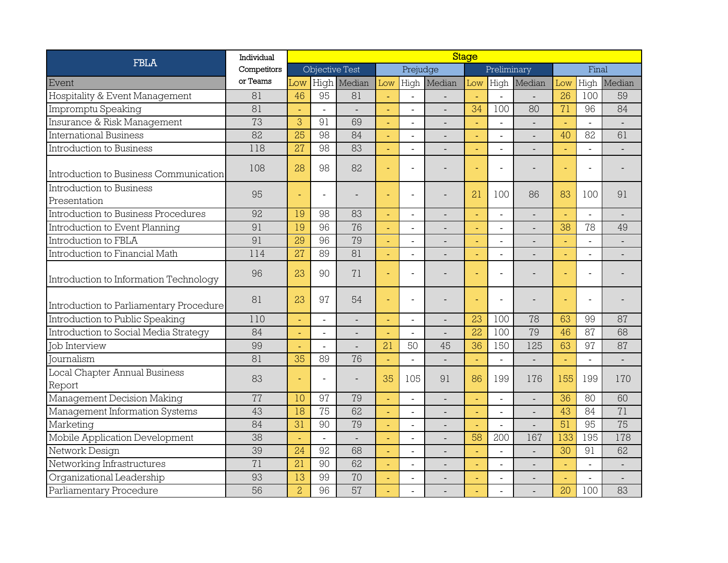| <b>FBLA</b>                              | Individual      | <b>Stage</b>    |                          |             |     |                          |                |             |                |                |       |                |                          |
|------------------------------------------|-----------------|-----------------|--------------------------|-------------|-----|--------------------------|----------------|-------------|----------------|----------------|-------|----------------|--------------------------|
|                                          | Competitors     |                 | Objective Test           |             |     | Prejudge                 |                | Preliminary |                |                | Final |                |                          |
| Event                                    | or Teams        | Low             |                          | High Median | Low | High                     | Median         | Low         |                | High Median    | Low   | High           | Median                   |
| Hospitality & Event Management           | 81              | 46              | 95                       | 81          |     | $\blacksquare$           |                |             |                |                | 26    | 100            | 59                       |
| Impromptu Speaking                       | 81              |                 |                          |             |     | $\sim$                   |                | 34          | 100            | 80             | 71    | 96             | 84                       |
| Insurance & Risk Management              | 73              | 3               | 91                       | 69          |     |                          |                |             |                |                | ä,    | $\overline{a}$ |                          |
| International Business                   | $\overline{82}$ | $\overline{25}$ | 98                       | 84          |     | $\overline{a}$           |                | ÷,          | $\overline{a}$ |                | 40    | 82             | 61                       |
| Introduction to Business                 | 118             | $\overline{27}$ | 98                       | 83          |     |                          |                |             |                |                |       | $\overline{a}$ |                          |
| Introduction to Business Communication   | 108             | 28              | 98                       | 82          |     |                          |                |             |                |                |       | $\blacksquare$ |                          |
| Introduction to Business<br>Presentation | 95              |                 |                          |             |     |                          |                | 21          | 100            | 86             | 83    | 100            | 91                       |
| Introduction to Business Procedures      | 92              | 19              | 98                       | 83          |     | $\overline{a}$           | $\overline{a}$ |             | $\overline{a}$ | $\overline{a}$ |       | $\overline{a}$ |                          |
| Introduction to Event Planning           | 91              | 19              | 96                       | 76          |     | $\overline{\phantom{a}}$ |                |             | $\overline{a}$ |                | 38    | 78             | 49                       |
| Introduction to FBLA                     | 91              | 29              | 96                       | 79          |     | $\overline{a}$           |                |             | $\overline{a}$ |                |       | $\sim$         | $\overline{a}$           |
| Introduction to Financial Math           | 114             | 27              | 89                       | 81          |     |                          |                |             |                |                |       | $\overline{a}$ |                          |
| Introduction to Information Technology   | 96              | 23              | 90                       | 71          |     | $\sim$                   |                |             |                |                |       | $\sim$         |                          |
| Introduction to Parliamentary Procedure  | 81              | 23              | 97                       | 54          |     | $\sim$                   |                |             |                |                |       | $\sim$         |                          |
| Introduction to Public Speaking          | 110             |                 |                          |             |     |                          |                | 23          | 100            | 78             | 63    | 99             | 87                       |
| Introduction to Social Media Strategy    | 84              |                 | $\overline{\phantom{a}}$ |             |     | $\overline{a}$           |                | 22          | 100            | 79             | 46    | 87             | 68                       |
| <b>Job Interview</b>                     | 99              |                 |                          |             | 21  | 50                       | 45             | 36          | 150            | 125            | 63    | 97             | 87                       |
| Tournalism                               | 81              | 35              | 89                       | 76          |     | $\overline{\phantom{a}}$ |                |             |                |                |       | $\blacksquare$ |                          |
| Local Chapter Annual Business<br>Report  | 83              |                 |                          |             | 35  | 105                      | 91             | 86          | 199            | 176            | 155   | 199            | 170                      |
| Management Decision Making               | 77              | 10              | 97                       | 79          |     | $\blacksquare$           |                | ä,          | $\overline{a}$ |                | 36    | 80             | 60                       |
| Management Information Systems           | 43              | 18              | 75                       | 62          |     | $\overline{a}$           | $\overline{a}$ |             | $\overline{a}$ |                | 43    | 84             | 71                       |
| Marketing                                | 84              | $\overline{31}$ | 90                       | 79          |     |                          |                |             | $\overline{a}$ |                | 51    | 95             | 75                       |
| Mobile Application Development           | $\overline{38}$ |                 |                          |             |     | $\sim$                   |                | 58          | 200            | 167            | 133   | 195            | 178                      |
| Network Design                           | 39              | 24              | 92                       | 68          | ä,  | $\overline{a}$           |                |             | ÷.             |                | 30    | 91             | 62                       |
| Networking Infrastructures               | 71              | 21              | 90                       | 62          |     |                          |                | ÷           | ÷,             |                | ä,    | $\overline{a}$ |                          |
| Organizational Leadership                | 93              | 13              | 99                       | 70          |     | L.                       |                |             | ÷.             |                |       | $\blacksquare$ | $\overline{\phantom{a}}$ |
| Parliamentary Procedure                  | 56              | $\overline{c}$  | 96                       | 57          |     |                          |                |             |                |                | 20    | 100            | 83                       |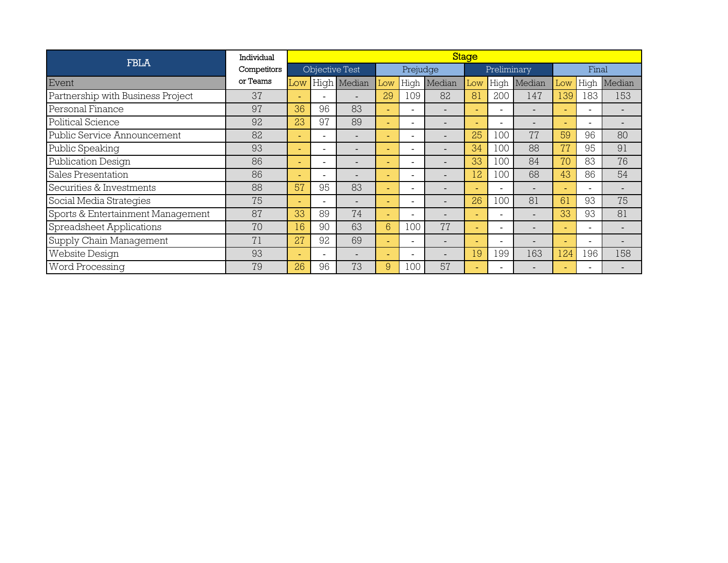| <b>FBLA</b>                       | Individual  | Stage                    |                          |             |                          |                          |        |                          |             |        |       |                          |        |
|-----------------------------------|-------------|--------------------------|--------------------------|-------------|--------------------------|--------------------------|--------|--------------------------|-------------|--------|-------|--------------------------|--------|
|                                   | Competitors | Objective Test           |                          |             | Prejudge                 |                          |        |                          | Preliminary |        | Final |                          |        |
| Event                             | or Teams    | Low                      |                          | High Median | Low                      | High                     | Median | Low                      | High        | Median | Low   | High                     | Median |
| Partnership with Business Project | 37          |                          |                          |             | 29                       | 109                      | 82     | 81                       | 200         | 147    | 139   | 183                      | 153    |
| Personal Finance                  | 97          | 36                       | 96                       | 83          |                          | $\equiv$                 |        | ÷                        |             |        |       | $\sim$                   |        |
| Political Science                 | 92          | 23                       | 97                       | 89          |                          | -                        |        | ÷                        |             |        |       | $\overline{\phantom{0}}$ |        |
| Public Service Announcement       | 82          | ÷                        |                          |             |                          | ۰                        |        | 25                       | .00         | 77     | 59    | 96                       | 80     |
| Public Speaking                   | 93          | ÷                        |                          |             |                          |                          |        | 34                       | .00         | 88     | 77    | 95                       | 91     |
| Publication Design                | 86          | $\overline{\phantom{a}}$ |                          |             |                          | $\overline{\phantom{0}}$ |        | 33                       | 100         | 84     | 70    | 83                       | 76     |
| Sales Presentation                | 86          |                          |                          |             | $\overline{\phantom{a}}$ | Ξ.                       |        | 12                       | 100         | 68     | 43    | 86                       | 54     |
| Securities & Investments          | 88          | 57                       | 95                       | 83          |                          |                          |        | $\overline{\phantom{0}}$ |             |        |       | $\overline{\phantom{0}}$ |        |
| Social Media Strategies           | 75          | ٠                        |                          |             |                          | -                        |        | 26                       | 100         | 81     | 61    | 93                       | 75     |
| Sports & Entertainment Management | 87          | 33                       | 89                       | 74          | ÷.                       | Ξ.                       |        | $\sim$                   |             |        | 33    | 93                       | 81     |
| Spreadsheet Applications          | 70          | 16                       | 90                       | 63          | 6                        | 100                      | 77     | ÷                        |             |        |       | $\overline{\phantom{0}}$ |        |
| Supply Chain Management           | 71          | 27                       | 92                       | 69          |                          | $\blacksquare$           |        | ÷                        |             |        |       | $\overline{\phantom{0}}$ |        |
| <b>Website Design</b>             | 93          | -                        | $\overline{\phantom{0}}$ |             |                          |                          |        | 19                       | 199         | 163    | 124   | 196                      | 158    |
| Word Processing                   | 79          | 26                       | 96                       | 73          | 9                        | 100                      | 57     | -                        |             |        |       |                          |        |